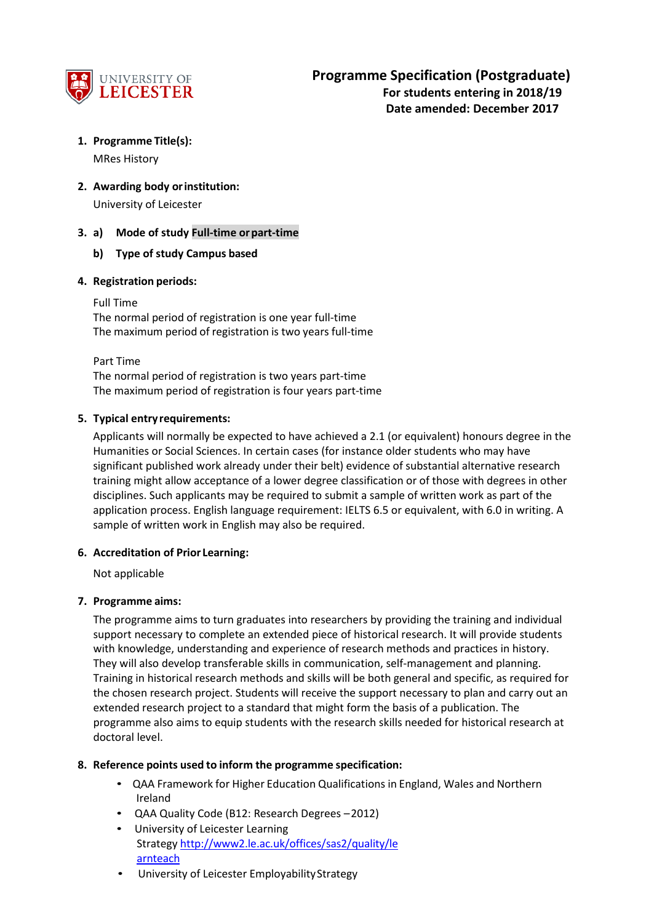

# **1. Programme Title(s):**

MRes History

**2. Awarding body orinstitution:**

University of Leicester

## **3. a) Mode of study Full-time orpart-time**

## **b) Type of study Campus based**

## **4. Registration periods:**

Full Time

The normal period of registration is one year full-time The maximum period of registration is two years full-time

Part Time

The normal period of registration is two years part-time The maximum period of registration is four years part-time

## **5. Typical entryrequirements:**

Applicants will normally be expected to have achieved a 2.1 (or equivalent) honours degree in the Humanities or Social Sciences. In certain cases (for instance older students who may have significant published work already under their belt) evidence of substantial alternative research training might allow acceptance of a lower degree classification or of those with degrees in other disciplines. Such applicants may be required to submit a sample of written work as part of the application process. English language requirement: IELTS 6.5 or equivalent, with 6.0 in writing. A sample of written work in English may also be required.

## **6. Accreditation of Prior Learning:**

Not applicable

## **7. Programme aims:**

The programme aims to turn graduates into researchers by providing the training and individual support necessary to complete an extended piece of historical research. It will provide students with knowledge, understanding and experience of research methods and practices in history. They will also develop transferable skills in communication, self-management and planning. Training in historical research methods and skills will be both general and specific, as required for the chosen research project. Students will receive the support necessary to plan and carry out an extended research project to a standard that might form the basis of a publication. The programme also aims to equip students with the research skills needed for historical research at doctoral level.

## **8. Reference points used to inform the programme specification:**

- QAA Framework for Higher Education Qualifications in England, Wales and Northern Ireland
- QAA Quality Code (B12: Research Degrees –2012)
- University of Leicester Learning Strateg[y http://www2.le.ac.uk/offices/sas2/quality/le](http://www2.le.ac.uk/offices/sas2/quality/learnteach) [arnteach](http://www2.le.ac.uk/offices/sas2/quality/learnteach)
- University of Leicester Employability Strategy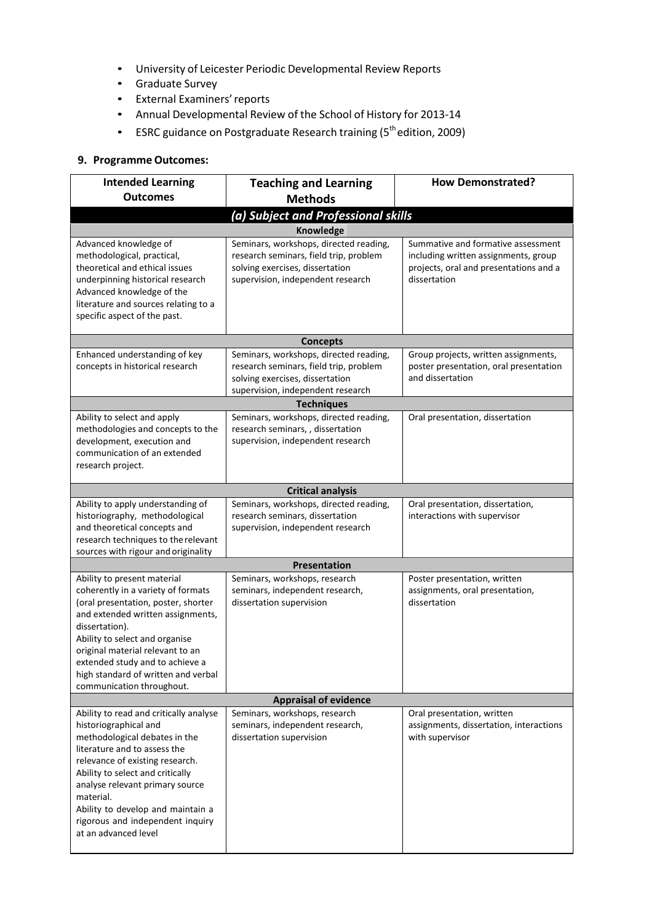- University of Leicester Periodic Developmental Review Reports
- Graduate Survey
- External Examiners'reports
- Annual Developmental Review of the School of History for 2013-14
- ESRC guidance on Postgraduate Research training (5<sup>th</sup> edition, 2009)

### **9. Programme Outcomes:**

| <b>Intended Learning</b><br><b>Outcomes</b>                                                                                                                                                                                                                                                                                                              | <b>Teaching and Learning</b>                                                                                                                             | <b>How Demonstrated?</b>                                                                                                             |  |  |
|----------------------------------------------------------------------------------------------------------------------------------------------------------------------------------------------------------------------------------------------------------------------------------------------------------------------------------------------------------|----------------------------------------------------------------------------------------------------------------------------------------------------------|--------------------------------------------------------------------------------------------------------------------------------------|--|--|
|                                                                                                                                                                                                                                                                                                                                                          | <b>Methods</b>                                                                                                                                           |                                                                                                                                      |  |  |
|                                                                                                                                                                                                                                                                                                                                                          | (a) Subject and Professional skills                                                                                                                      |                                                                                                                                      |  |  |
|                                                                                                                                                                                                                                                                                                                                                          | Knowledge                                                                                                                                                |                                                                                                                                      |  |  |
| Advanced knowledge of<br>methodological, practical,<br>theoretical and ethical issues<br>underpinning historical research<br>Advanced knowledge of the<br>literature and sources relating to a                                                                                                                                                           | Seminars, workshops, directed reading,<br>research seminars, field trip, problem<br>solving exercises, dissertation<br>supervision, independent research | Summative and formative assessment<br>including written assignments, group<br>projects, oral and presentations and a<br>dissertation |  |  |
| specific aspect of the past.                                                                                                                                                                                                                                                                                                                             |                                                                                                                                                          |                                                                                                                                      |  |  |
|                                                                                                                                                                                                                                                                                                                                                          |                                                                                                                                                          |                                                                                                                                      |  |  |
|                                                                                                                                                                                                                                                                                                                                                          | <b>Concepts</b>                                                                                                                                          |                                                                                                                                      |  |  |
| Enhanced understanding of key<br>concepts in historical research                                                                                                                                                                                                                                                                                         | Seminars, workshops, directed reading,<br>research seminars, field trip, problem<br>solving exercises, dissertation<br>supervision, independent research | Group projects, written assignments,<br>poster presentation, oral presentation<br>and dissertation                                   |  |  |
|                                                                                                                                                                                                                                                                                                                                                          | <b>Techniques</b>                                                                                                                                        |                                                                                                                                      |  |  |
| Ability to select and apply<br>methodologies and concepts to the<br>development, execution and<br>communication of an extended<br>research project.                                                                                                                                                                                                      | Seminars, workshops, directed reading,<br>research seminars, , dissertation<br>supervision, independent research                                         | Oral presentation, dissertation                                                                                                      |  |  |
|                                                                                                                                                                                                                                                                                                                                                          | <b>Critical analysis</b>                                                                                                                                 |                                                                                                                                      |  |  |
| Ability to apply understanding of<br>historiography, methodological<br>and theoretical concepts and<br>research techniques to the relevant                                                                                                                                                                                                               | Seminars, workshops, directed reading,<br>research seminars, dissertation<br>supervision, independent research                                           | Oral presentation, dissertation,<br>interactions with supervisor                                                                     |  |  |
| sources with rigour and originality                                                                                                                                                                                                                                                                                                                      | <b>Presentation</b>                                                                                                                                      |                                                                                                                                      |  |  |
| Ability to present material<br>coherently in a variety of formats<br>(oral presentation, poster, shorter<br>and extended written assignments,<br>dissertation).<br>Ability to select and organise<br>original material relevant to an<br>extended study and to achieve a<br>high standard of written and verbal<br>communication throughout.             | Seminars, workshops, research<br>seminars, independent research,<br>dissertation supervision                                                             | Poster presentation, written<br>assignments, oral presentation,<br>dissertation                                                      |  |  |
| <b>Appraisal of evidence</b>                                                                                                                                                                                                                                                                                                                             |                                                                                                                                                          |                                                                                                                                      |  |  |
| Ability to read and critically analyse<br>historiographical and<br>methodological debates in the<br>literature and to assess the<br>relevance of existing research.<br>Ability to select and critically<br>analyse relevant primary source<br>material.<br>Ability to develop and maintain a<br>rigorous and independent inquiry<br>at an advanced level | Seminars, workshops, research<br>seminars, independent research,<br>dissertation supervision                                                             | Oral presentation, written<br>assignments, dissertation, interactions<br>with supervisor                                             |  |  |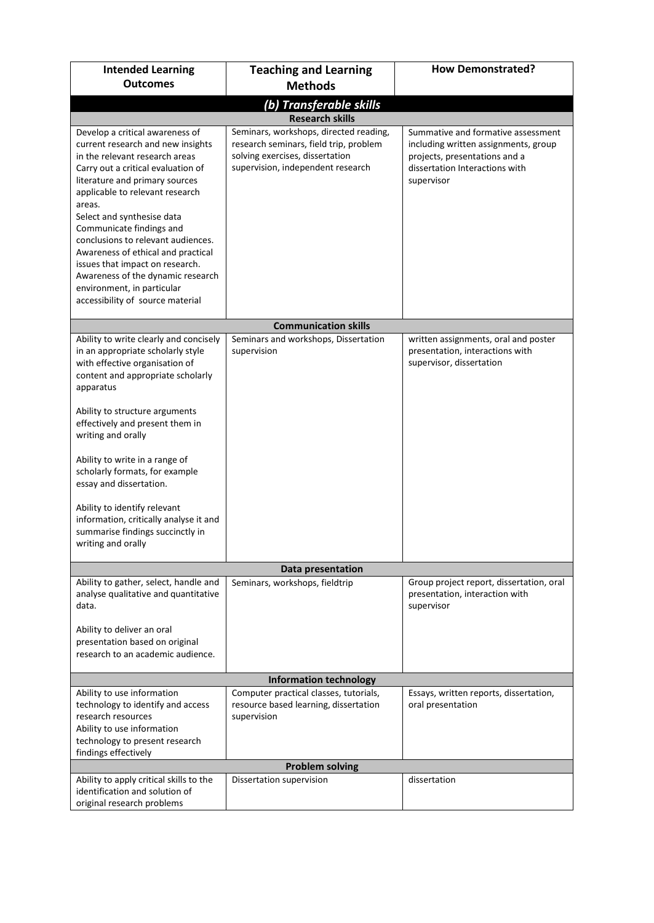| <b>Intended Learning</b>                                                                                                                                                                                                                                                                                                                                                                                                                                                                                    | <b>Teaching and Learning</b>                                                                                                                                                       | <b>How Demonstrated?</b>                                                                                                                                    |  |  |
|-------------------------------------------------------------------------------------------------------------------------------------------------------------------------------------------------------------------------------------------------------------------------------------------------------------------------------------------------------------------------------------------------------------------------------------------------------------------------------------------------------------|------------------------------------------------------------------------------------------------------------------------------------------------------------------------------------|-------------------------------------------------------------------------------------------------------------------------------------------------------------|--|--|
| <b>Outcomes</b>                                                                                                                                                                                                                                                                                                                                                                                                                                                                                             | <b>Methods</b>                                                                                                                                                                     |                                                                                                                                                             |  |  |
| (b) Transferable skills                                                                                                                                                                                                                                                                                                                                                                                                                                                                                     |                                                                                                                                                                                    |                                                                                                                                                             |  |  |
| Develop a critical awareness of<br>current research and new insights<br>in the relevant research areas<br>Carry out a critical evaluation of<br>literature and primary sources<br>applicable to relevant research<br>areas.<br>Select and synthesise data<br>Communicate findings and<br>conclusions to relevant audiences.<br>Awareness of ethical and practical<br>issues that impact on research.<br>Awareness of the dynamic research<br>environment, in particular<br>accessibility of source material | <b>Research skills</b><br>Seminars, workshops, directed reading,<br>research seminars, field trip, problem<br>solving exercises, dissertation<br>supervision, independent research | Summative and formative assessment<br>including written assignments, group<br>projects, presentations and a<br>dissertation Interactions with<br>supervisor |  |  |
|                                                                                                                                                                                                                                                                                                                                                                                                                                                                                                             | <b>Communication skills</b>                                                                                                                                                        |                                                                                                                                                             |  |  |
| Ability to write clearly and concisely<br>in an appropriate scholarly style<br>with effective organisation of<br>content and appropriate scholarly<br>apparatus<br>Ability to structure arguments<br>effectively and present them in<br>writing and orally<br>Ability to write in a range of<br>scholarly formats, for example<br>essay and dissertation.<br>Ability to identify relevant<br>information, critically analyse it and<br>summarise findings succinctly in<br>writing and orally               | Seminars and workshops, Dissertation<br>supervision                                                                                                                                | written assignments, oral and poster<br>presentation, interactions with<br>supervisor, dissertation                                                         |  |  |
|                                                                                                                                                                                                                                                                                                                                                                                                                                                                                                             | Data presentation                                                                                                                                                                  |                                                                                                                                                             |  |  |
| Ability to gather, select, handle and<br>analyse qualitative and quantitative<br>data.<br>Ability to deliver an oral<br>presentation based on original<br>research to an academic audience.                                                                                                                                                                                                                                                                                                                 | Seminars, workshops, fieldtrip                                                                                                                                                     | Group project report, dissertation, oral<br>presentation, interaction with<br>supervisor                                                                    |  |  |
|                                                                                                                                                                                                                                                                                                                                                                                                                                                                                                             | <b>Information technology</b>                                                                                                                                                      |                                                                                                                                                             |  |  |
| Ability to use information<br>technology to identify and access<br>research resources<br>Ability to use information<br>technology to present research<br>findings effectively                                                                                                                                                                                                                                                                                                                               | Computer practical classes, tutorials,<br>resource based learning, dissertation<br>supervision                                                                                     | Essays, written reports, dissertation,<br>oral presentation                                                                                                 |  |  |
|                                                                                                                                                                                                                                                                                                                                                                                                                                                                                                             | <b>Problem solving</b>                                                                                                                                                             |                                                                                                                                                             |  |  |
| Ability to apply critical skills to the<br>identification and solution of<br>original research problems                                                                                                                                                                                                                                                                                                                                                                                                     | Dissertation supervision                                                                                                                                                           | dissertation                                                                                                                                                |  |  |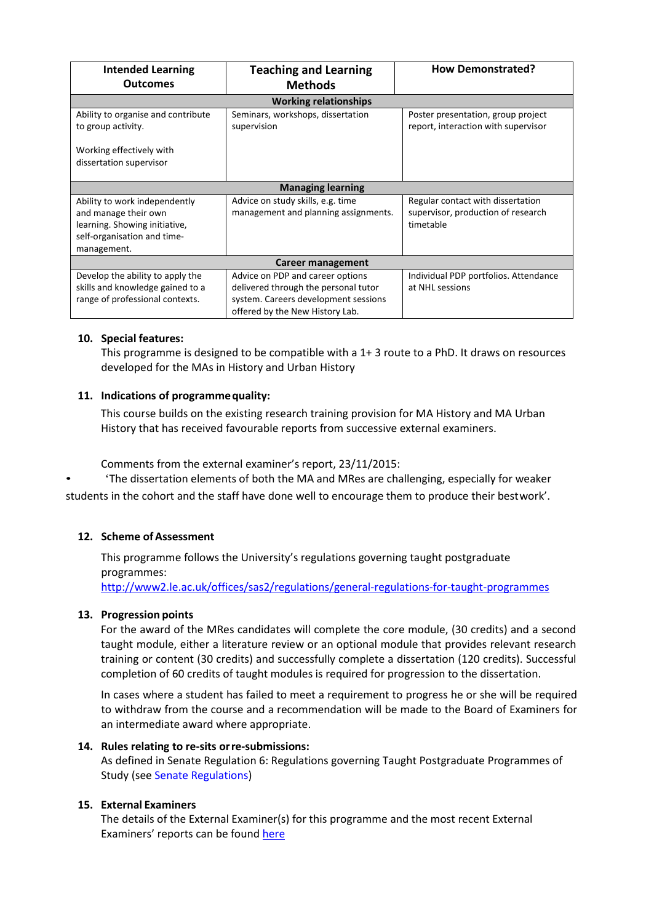| <b>Intended Learning</b>                            | <b>Teaching and Learning</b>         | <b>How Demonstrated?</b>              |  |  |  |
|-----------------------------------------------------|--------------------------------------|---------------------------------------|--|--|--|
| <b>Outcomes</b>                                     | <b>Methods</b>                       |                                       |  |  |  |
| <b>Working relationships</b>                        |                                      |                                       |  |  |  |
| Ability to organise and contribute                  | Seminars, workshops, dissertation    | Poster presentation, group project    |  |  |  |
| to group activity.                                  | supervision                          | report, interaction with supervisor   |  |  |  |
| Working effectively with<br>dissertation supervisor |                                      |                                       |  |  |  |
| <b>Managing learning</b>                            |                                      |                                       |  |  |  |
| Ability to work independently                       | Advice on study skills, e.g. time    | Regular contact with dissertation     |  |  |  |
| and manage their own                                | management and planning assignments. | supervisor, production of research    |  |  |  |
| learning. Showing initiative,                       |                                      | timetable                             |  |  |  |
| self-organisation and time-                         |                                      |                                       |  |  |  |
| management.                                         |                                      |                                       |  |  |  |
| Career management                                   |                                      |                                       |  |  |  |
| Develop the ability to apply the                    | Advice on PDP and career options     | Individual PDP portfolios. Attendance |  |  |  |
| skills and knowledge gained to a                    | delivered through the personal tutor | at NHL sessions                       |  |  |  |
| range of professional contexts.                     | system. Careers development sessions |                                       |  |  |  |
|                                                     | offered by the New History Lab.      |                                       |  |  |  |

#### **10. Special features:**

This programme is designed to be compatible with a 1+ 3 route to a PhD. It draws on resources developed for the MAs in History and Urban History

## **11. Indications of programmequality:**

This course builds on the existing research training provision for MA History and MA Urban History that has received favourable reports from successive external examiners.

Comments from the external examiner's report, 23/11/2015:

• 'The dissertation elements of both the MA and MRes are challenging, especially for weaker students in the cohort and the staff have done well to encourage them to produce their bestwork'.

## **12. Scheme of Assessment**

This programme follows the University's regulations governing taught postgraduate programmes: <http://www2.le.ac.uk/offices/sas2/regulations/general-regulations-for-taught-programmes>

#### **13. Progression points**

For the award of the MRes candidates will complete the core module, (30 credits) and a second taught module, either a literature review or an optional module that provides relevant research training or content (30 credits) and successfully complete a dissertation (120 credits). Successful completion of 60 credits of taught modules is required for progression to the dissertation.

In cases where a student has failed to meet a requirement to progress he or she will be required to withdraw from the course and a recommendation will be made to the Board of Examiners for an intermediate award where appropriate.

### **14. Rules relating to re-sits orre-submissions:**

As defined in Senate Regulation 6: Regulations governing Taught Postgraduate Programmes of Study (see Senate Regulations)

#### **15. External Examiners**

The details of the External Examiner(s) for this programme and the most recent External Examiners' reports can be foun[d here](https://exampapers.le.ac.uk/xmlui/handle/123456789/10)